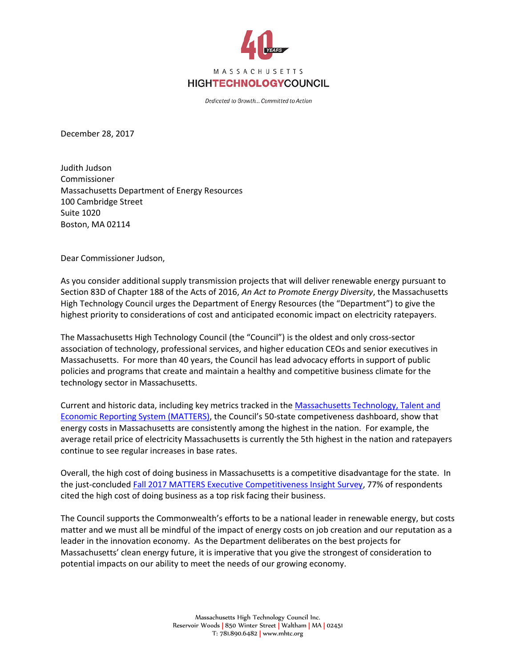

Dedicated to Growth... Committed to Action

December 28, 2017

Judith Judson Commissioner Massachusetts Department of Energy Resources 100 Cambridge Street Suite 1020 Boston, MA 02114

Dear Commissioner Judson,

As you consider additional supply transmission projects that will deliver renewable energy pursuant to Section 83D of Chapter 188 of the Acts of 2016, *An Act to Promote Energy Diversity*, the Massachusetts High Technology Council urges the Department of Energy Resources (the "Department") to give the highest priority to considerations of cost and anticipated economic impact on electricity ratepayers.

The Massachusetts High Technology Council (the "Council") is the oldest and only cross-sector association of technology, professional services, and higher education CEOs and senior executives in Massachusetts. For more than 40 years, the Council has lead advocacy efforts in support of public policies and programs that create and maintain a healthy and competitive business climate for the technology sector in Massachusetts.

Current and historic data, including key metrics tracked in the [Massachusetts Technology, Talent and](http://matters.mhtc.org/resources/MATTERS_Executive_Competitiveness_Insight_Survey_Fall_2017.pdf)  [Economic Reporting System \(MATTERS\)](http://matters.mhtc.org/resources/MATTERS_Executive_Competitiveness_Insight_Survey_Fall_2017.pdf), the Council's 50-state competiveness dashboard, show that energy costs in Massachusetts are consistently among the highest in the nation. For example, the average retail price of electricity Massachusetts is currently the 5th highest in the nation and ratepayers continue to see regular increases in base rates.

Overall, the high cost of doing business in Massachusetts is a competitive disadvantage for the state. In the just-concluded [Fall 2017 MATTERS Executive Competitiveness Insight Survey,](http://matters.mhtc.org/resources/MATTERS_Executive_Competitiveness_Insight_Survey_Fall_2017.pdf) 77% of respondents cited the high cost of doing business as a top risk facing their business.

The Council supports the Commonwealth's efforts to be a national leader in renewable energy, but costs matter and we must all be mindful of the impact of energy costs on job creation and our reputation as a leader in the innovation economy. As the Department deliberates on the best projects for Massachusetts' clean energy future, it is imperative that you give the strongest of consideration to potential impacts on our ability to meet the needs of our growing economy.